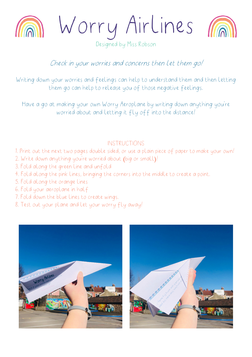

Worry Airlines



Designed by Miss Robson

## Check in your worries and concerns then let them go!

Writing down your worries and feelings can help to understand them and then letting them go can help to release you of those negative feelings.

Have a go at making your own Worry Aeroplane by writing down anything you're worried about and letting it fly off into the distance!

## INSTRUCTIONS

1. Print out the next two pages double sided, or use a plain piece of paper to make your own!

- 2. Write down anything you're worried about (big or small)!
- 3. Fold along the green line and unfold
- 4. Fold along the pink lines, bringing the corners into the middle to create a point.
- 5. Fold along the orange lines
- 6. Fold your aeroplane in half
- 7. Fold down the blue lines to create wings.
- 8. Test out your plane and let your worry fly away!



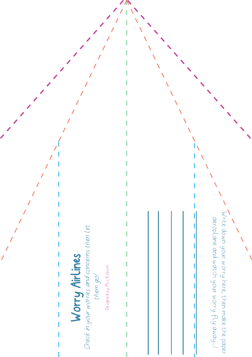## Worry Airlines Check in your worries and concerns then let Worry Airlines<br>Check in your worries and concerns then Let

Designed by Miss Robson Designed by Miss Robson

Write down your worry here, then make the paper Write down your worry here, then make the paper aeroplane and watch your worry fly away...! aeroplane and watch your worry fly away...!